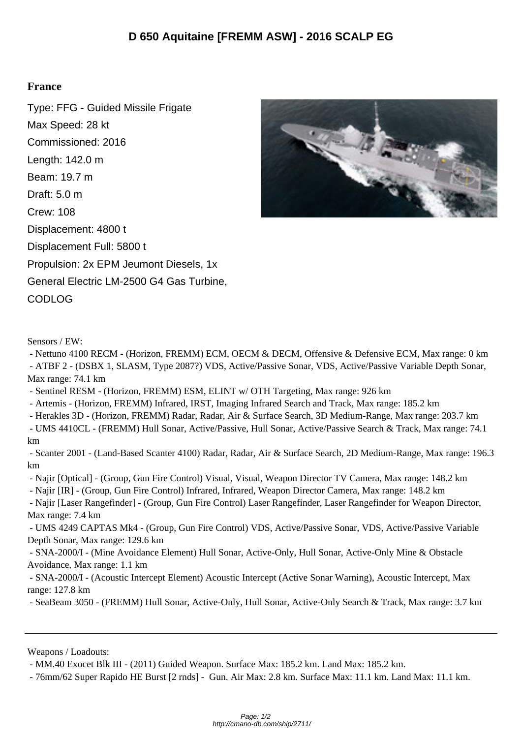## **France**

Type: FFG - Guided Missile Frigate Max Speed: 28 kt Commissioned: 2016 Length: 142.0 m Beam: 19.7 m Draft: 5.0 m Crew: 108 Displacement: 4800 t Displacement Full: 5800 t Propulsion: 2x EPM Jeumont Diesels, 1x General Electric LM-2500 G4 Gas Turbine, CODLOG



Sensors / EW:

 - Nettuno 4100 RECM - (Horizon, FREMM) ECM, OECM & DECM, Offensive & Defensive ECM, Max range: 0 km - ATBF 2 - (DSBX 1, SLASM, Type 2087?) VDS, Active/Passive Sonar, VDS, Active/Passive Variable Depth Sonar, Max range: 74.1 km

- Sentinel RESM - (Horizon, FREMM) ESM, ELINT w/ OTH Targeting, Max range: 926 km

- Artemis - (Horizon, FREMM) Infrared, IRST, Imaging Infrared Search and Track, Max range: 185.2 km

- Herakles 3D - (Horizon, FREMM) Radar, Radar, Air & Surface Search, 3D Medium-Range, Max range: 203.7 km

 - UMS 4410CL - (FREMM) Hull Sonar, Active/Passive, Hull Sonar, Active/Passive Search & Track, Max range: 74.1 km

 - Scanter 2001 - (Land-Based Scanter 4100) Radar, Radar, Air & Surface Search, 2D Medium-Range, Max range: 196.3 km

- Najir [Optical] - (Group, Gun Fire Control) Visual, Visual, Weapon Director TV Camera, Max range: 148.2 km

- Najir [IR] - (Group, Gun Fire Control) Infrared, Infrared, Weapon Director Camera, Max range: 148.2 km

 - Najir [Laser Rangefinder] - (Group, Gun Fire Control) Laser Rangefinder, Laser Rangefinder for Weapon Director, Max range: 7.4 km

 - UMS 4249 CAPTAS Mk4 - (Group, Gun Fire Control) VDS, Active/Passive Sonar, VDS, Active/Passive Variable Depth Sonar, Max range: 129.6 km

 - SNA-2000/I - (Mine Avoidance Element) Hull Sonar, Active-Only, Hull Sonar, Active-Only Mine & Obstacle Avoidance, Max range: 1.1 km

 - SNA-2000/I - (Acoustic Intercept Element) Acoustic Intercept (Active Sonar Warning), Acoustic Intercept, Max range: 127.8 km

- SeaBeam 3050 - (FREMM) Hull Sonar, Active-Only, Hull Sonar, Active-Only Search & Track, Max range: 3.7 km

Weapons / Loadouts:

- MM.40 Exocet Blk III - (2011) Guided Weapon. Surface Max: 185.2 km. Land Max: 185.2 km.

- 76mm/62 Super Rapido HE Burst [2 rnds] - Gun. Air Max: 2.8 km. Surface Max: 11.1 km. Land Max: 11.1 km.